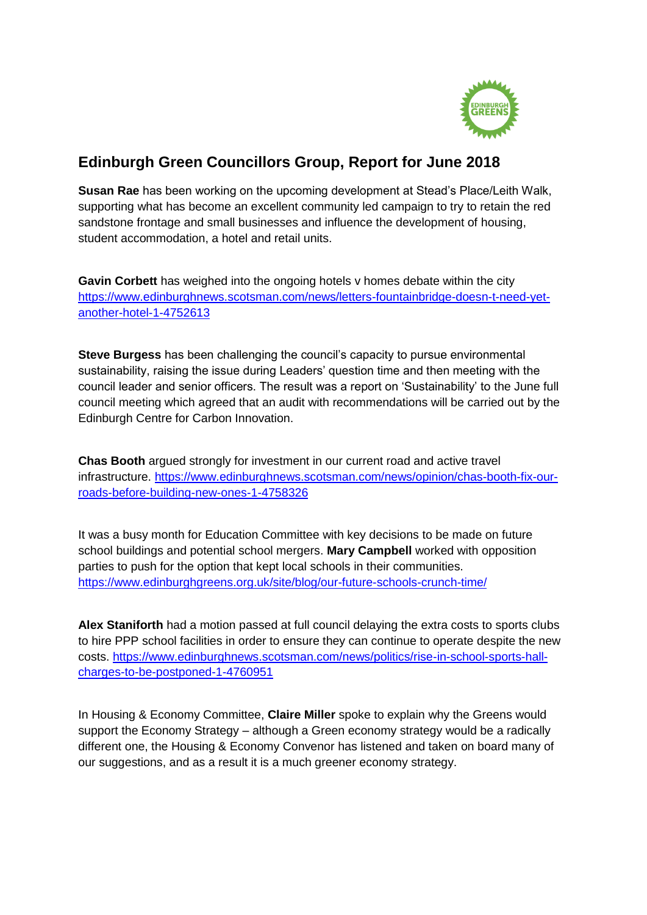

## **Edinburgh Green Councillors Group, Report for June 2018**

**Susan Rae** has been working on the upcoming development at Stead's Place/Leith Walk, supporting what has become an excellent community led campaign to try to retain the red sandstone frontage and small businesses and influence the development of housing, student accommodation, a hotel and retail units.

**Gavin Corbett** has weighed into the ongoing hotels v homes debate within the city [https://www.edinburghnews.scotsman.com/news/letters-fountainbridge-doesn-t-need-yet](https://www.edinburghnews.scotsman.com/news/letters-fountainbridge-doesn-t-need-yet-another-hotel-1-4752613)[another-hotel-1-4752613](https://www.edinburghnews.scotsman.com/news/letters-fountainbridge-doesn-t-need-yet-another-hotel-1-4752613)

**Steve Burgess** has been challenging the council's capacity to pursue environmental sustainability, raising the issue during Leaders' question time and then meeting with the council leader and senior officers. The result was a report on 'Sustainability' to the June full council meeting which agreed that an audit with recommendations will be carried out by the Edinburgh Centre for Carbon Innovation.

**Chas Booth** argued strongly for investment in our current road and active travel infrastructure. [https://www.edinburghnews.scotsman.com/news/opinion/chas-booth-fix-our](https://www.edinburghnews.scotsman.com/news/opinion/chas-booth-fix-our-roads-before-building-new-ones-1-4758326)[roads-before-building-new-ones-1-4758326](https://www.edinburghnews.scotsman.com/news/opinion/chas-booth-fix-our-roads-before-building-new-ones-1-4758326)

It was a busy month for Education Committee with key decisions to be made on future school buildings and potential school mergers. **Mary Campbell** worked with opposition parties to push for the option that kept local schools in their communities. <https://www.edinburghgreens.org.uk/site/blog/our-future-schools-crunch-time/>

**Alex Staniforth** had a motion passed at full council delaying the extra costs to sports clubs to hire PPP school facilities in order to ensure they can continue to operate despite the new costs. [https://www.edinburghnews.scotsman.com/news/politics/rise-in-school-sports-hall](https://www.edinburghnews.scotsman.com/news/politics/rise-in-school-sports-hall-charges-to-be-postponed-1-4760951)[charges-to-be-postponed-1-4760951](https://www.edinburghnews.scotsman.com/news/politics/rise-in-school-sports-hall-charges-to-be-postponed-1-4760951)

In Housing & Economy Committee, **Claire Miller** spoke to explain why the Greens would support the Economy Strategy – although a Green economy strategy would be a radically different one, the Housing & Economy Convenor has listened and taken on board many of our suggestions, and as a result it is a much greener economy strategy.